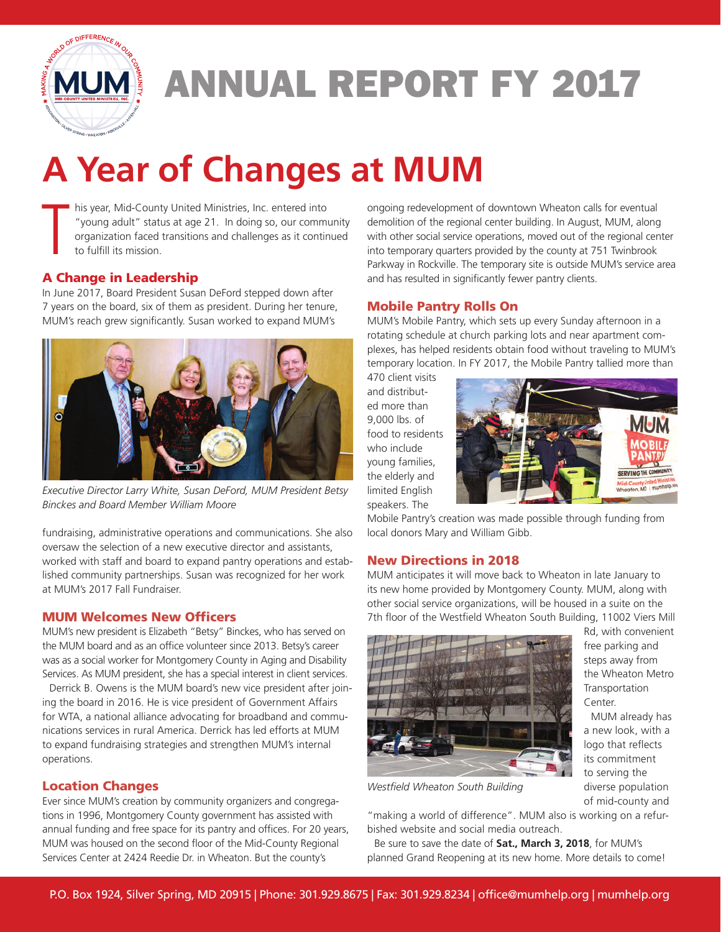

# ANNUAL REPORT FY 2017

# **A Year of Changes at MUM**

T his year, Mid-County United Ministries, Inc. entered into "young adult" status at age 21. In doing so, our community organization faced transitions and challenges as it continued to fulfill its mission.

### A Change in Leadership

In June 2017, Board President Susan DeFord stepped down after 7 years on the board, six of them as president. During her tenure, MUM's reach grew significantly. Susan worked to expand MUM's



*Executive Director Larry White, Susan DeFord, MUM President Betsy Binckes and Board Member William Moore*

fundraising, administrative operations and communications. She also oversaw the selection of a new executive director and assistants, worked with staff and board to expand pantry operations and established community partnerships. Susan was recognized for her work at MUM's 2017 Fall Fundraiser.

#### MUM Welcomes New Officers

MUM's new president is Elizabeth "Betsy" Binckes, who has served on the MUM board and as an office volunteer since 2013. Betsy's career was as a social worker for Montgomery County in Aging and Disability Services. As MUM president, she has a special interest in client services.

Derrick B. Owens is the MUM board's new vice president after joining the board in 2016. He is vice president of Government Affairs for WTA, a national alliance advocating for broadband and communications services in rural America. Derrick has led efforts at MUM to expand fundraising strategies and strengthen MUM's internal operations.

## Location Changes

Ever since MUM's creation by community organizers and congregations in 1996, Montgomery County government has assisted with annual funding and free space for its pantry and offices. For 20 years, MUM was housed on the second floor of the Mid-County Regional Services Center at 2424 Reedie Dr. in Wheaton. But the county's

ongoing redevelopment of downtown Wheaton calls for eventual demolition of the regional center building. In August, MUM, along with other social service operations, moved out of the regional center into temporary quarters provided by the county at 751 Twinbrook Parkway in Rockville. The temporary site is outside MUM's service area and has resulted in significantly fewer pantry clients.

### Mobile Pantry Rolls On

MUM's Mobile Pantry, which sets up every Sunday afternoon in a rotating schedule at church parking lots and near apartment complexes, has helped residents obtain food without traveling to MUM's temporary location. In FY 2017, the Mobile Pantry tallied more than

470 client visits and distributed more than 9,000 lbs. of food to residents who include young families, the elderly and limited English speakers. The



Mobile Pantry's creation was made possible through funding from local donors Mary and William Gibb.

#### New Directions in 2018

MUM anticipates it will move back to Wheaton in late January to its new home provided by Montgomery County. MUM, along with other social service organizations, will be housed in a suite on the 7th floor of the Westfield Wheaton South Building, 11002 Viers Mill



Rd, with convenient free parking and steps away from the Wheaton Metro **Transportation** Center.

MUM already has a new look, with a logo that reflects its commitment to serving the diverse population of mid-county and

*Westfield Wheaton South Building*

"making a world of difference". MUM also is working on a refurbished website and social media outreach.

Be sure to save the date of **Sat., March 3, 2018**, for MUM's planned Grand Reopening at its new home. More details to come!